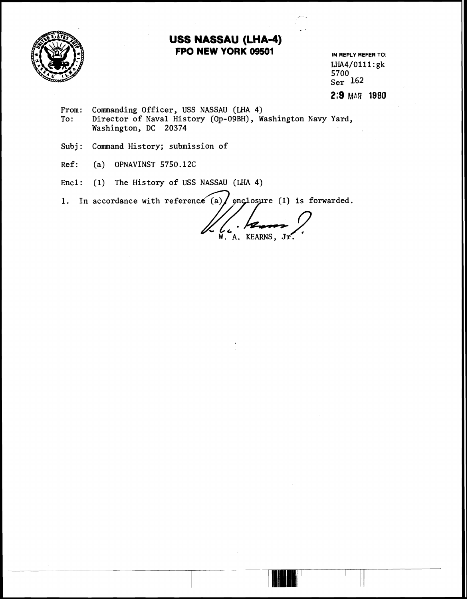

# **USS NASSAU (LHA-4) FPO NEW YORK 09501** IN REPLY REFER TO:

LHA4/0111:gk 5700 Ser **162**  2:9 MAR 1980

I- -

- From: Commanding Officer, USS NASSAU (LHA 4)<br>To: Director of Naval History (Op-09BH), W Director of Naval History (Op-09BH), Washington Navy Yard, Washington, DC 20374
- Subj: Command History; submission of
- Ref: (a) OPNAVINST 5750.12C
- Encl: (1) The History of USS NASSAU (LHA 4)

1. In accordance with reference (a)  $/$  enclosure (1) is forwarded.

W. A. KEARNS, Jr.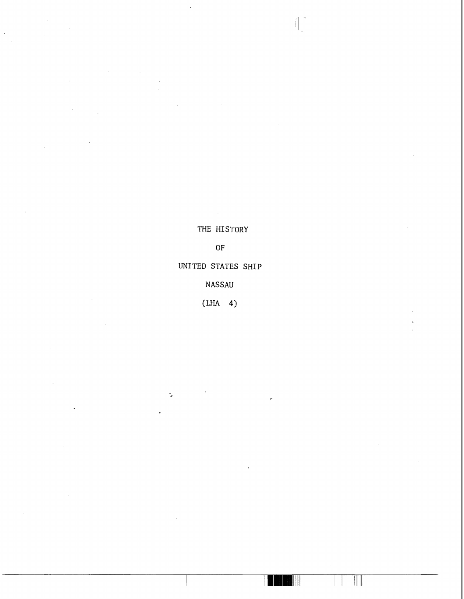THE HISTORY

Í.

 $OF$ 

UNITED STATES SHIP

NASSAU

**(LHA 4)** 

٠.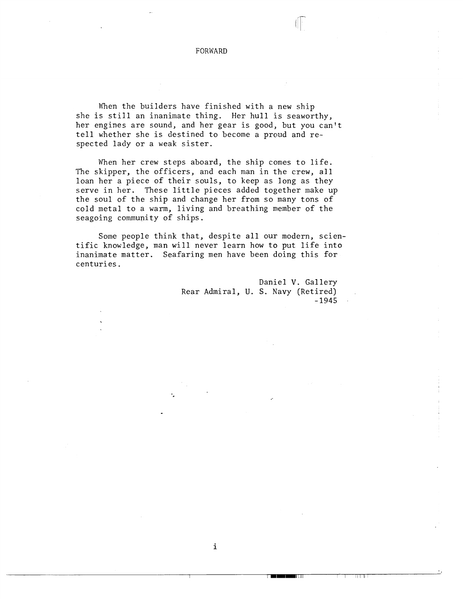FORWARD

When the builders have finished with a new ship she is still an inanimate thing. Her hull is seaworthy, her engines are sound, and her gear is good, but you can't tell whether she is destined to become a proud and respected lady or a weak sister.

When her crew steps aboard, the ship comes to life. The skipper, the officers, and each man in the crew, all loan her a piece of their souls, to keep as long as they serve in her. These little pieces added together make up the soul of the ship and change her from so many tons of cold metal to a warm, living and breathing member of the seagoing community of ships.

Some people think that, despite all our modern, scientific knowledge, man will never learn how to put life into inanimate matter. Seafaring men have been doing this for centuries.

i

TETTI

Daniel V. Gallery Rear Admiral, U. S. Navy (Retired) . - 1945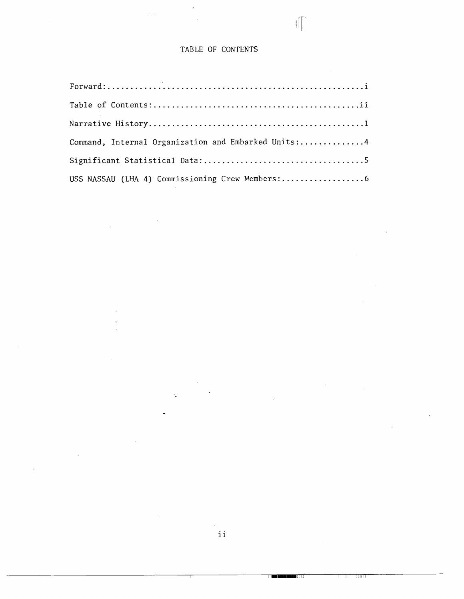## **TABLE OF CONTENTS**

 $\mathbb{I}$ 

| Command, Internal Organization and Embarked Units:4 |
|-----------------------------------------------------|
|                                                     |
|                                                     |

**B** I

त ।। ।।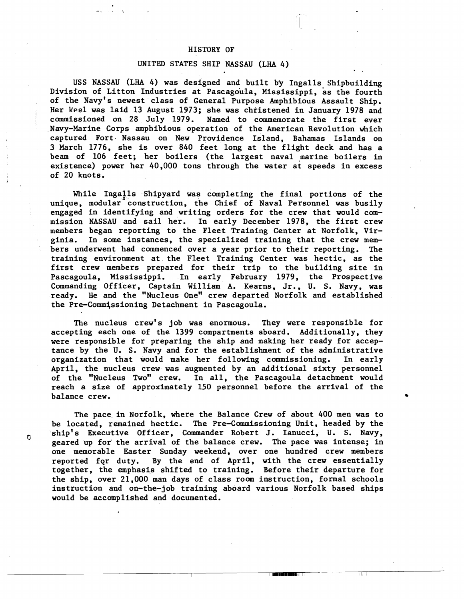#### HISTORY OF

### UNITED STATES SHIP NASSAU **(LHA** 4) .

USS NASSAU (LHA 4) was designed and built b'y Ingalls Shipbuilding Division of Litton Industries at Pascagoula, Mississippi, as the fourth of the Navy's newest class of General Purpose Amphibious Assault Ship. Her keel was laid 13 August 1973; she was christened in January 1978 and commissioned on 28 July 1979. Named to commemorate the first ever Navy-Marine Corps amphibious operation of the American Revolution which captured Fort. Nassau on New Providence Island, Bahamas Islands on 3 March 1776, she is over 840 feet long at the flight deck and has a beam of 106 feet; her boilers (the largest naval marine boilers in existence) power her 40,000 tons through the water at speeds in excess of 20 knots.

While Ingalls Shipyard was completing the final portions of the unique, modular construction, the Chief of Naval Personnel was busily engaged in identifying and writing orders for the crew that would commission NASSAU and sail her. In early December 1978, the first crew members began reporting to the Fleet Training Center at Norfolk, Virginia. In some instances, the specialized training that the crew members underwent had commenced over a year prior to their reporting. The training environment at the Fleet Training Center was hectic, as the first crew members prepared for their trip to the building site in<br>Pascagoula, Mississippi. In early February 1979, the Prospective In early February 1979, the Prospective Commanding Officer, Captain William A. Kearns, Jr., U. S. Navy, was ready. He and the "Nucleus One" crew departed Norfolk and established the Pre-Commissioning Detachment in Pascagoula.

The nucleus crew's job was enormous. They were responsible for accepting each one of the 1399 compartments aboard. Additionally, they were responsible for preparing the ship and making her ready for acceptance by the U. S. Navy and for the establishment of the administrative organization that would make her following commissioning. In early April, the nucleus crew was augmented by an additional sixty personnel of the "Nucleus Two" crew. In all, the Pascagoula detachment would reach a size of approximately 150 personnel before the arrival of the balance crew.

The pace in Norfolk, where the Balance Crew of about 400 men was to be located, remained hectic. The Pre-Commissioning Unit, headed by the C<sup>ship's</sup> Executive Officer, Commander Robert J. Ianucci, U. S. Navy, geared up for'the arrival of the balance crew. The pace was intense; in one memorable Easter Sunday weekend, over one hundred crew members reported fqr duty. By the end of April, with the crew essentially together, the emphasis shifted to training. Before their departure for the ship, over 21,000 man days of class room instruction, formal schools instruction and on-the-job training aboard various Norfolk based ships would be accomplished and documented.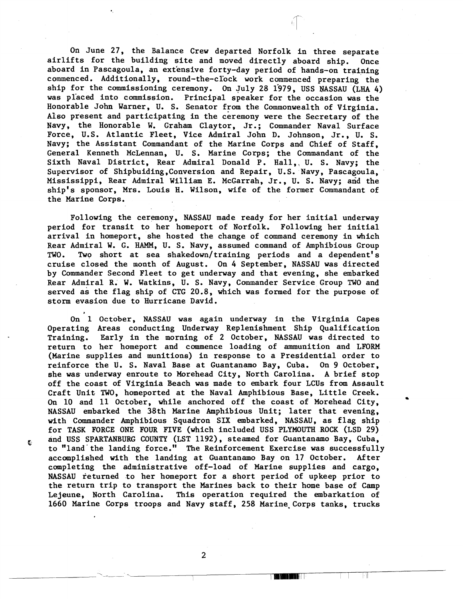On June 27, the Balance Crew departed Norfolk in three separate airlifts for the building site and moved directly aboard ship. Once aboard in Pascagoula, an extensive forty-day period of hands-on training commenced. Additionally, round-the-clock work commenced preparing the ship for the commissioning ceremony. **On** July 28 1379, USS NASSAU **(LHA** 4) was pl'aced into commission. Principal speaker for the occasion was the Honorable John Warner, U. S. Senator from the Commonwealth of Virginia. Also present and participating in the ceremony were the Secretary of the Navy, the Honorable W. Graham Claytor, Jr.; Commander Naval Surface Force, U.S. Atlantic Fleet, Vice Admiral John D. Johnson, Jr., U. S. Navy; the Assistant Commandant of the Marine Corps and Chief of Staff, General Kenneth McLennan, U. S. Marine Corps; the Commandant of the Sixth Naval District, Rear Admiral Donald P. Hall,, U. S. Navy; the Supervisor of Shipbuiding , Conversion and Repair, U. S . Navy, Pascagoula, Supervisor of Shipbuiding, Conversion and Repair, U.S. Navy, Pascagoula, Mississippi, Rear Admiral William E. McGarrah, Jr., U. S. Navy; and the ship's sponsor, Mrs. Louis H. Wilson, wife of the former Commandant of the Marine Corps.

Following the ceremony, NASSAU made ready for her initial underway period for transit to her homeport of Norfolk. Following her initial arrival in homeport, she hosted the change of command ceremony in which Rear Admiral W. G. **HAMM,** U. S. Navy, assumed command of Amphibious Group TWO. Two short at sea shakedown/training periods and a dependent's cruise closed the month of August. On 4 September, NASSAU was directed by Commander Second Fleet to get underway and that evening, she embarked Rear Admiral R. W. Watkins, U. S. Navy, Commander Service Group TWO and served as the flag ship of CTG 20.8, which was formed for the purpose of storm evasion due to Hurricane David.

On 1 October, NASSAU was again underway in the Virginia Capes Operating Areas conducting Underway Replenishment Ship Qualification Training. Early in the morning of 2 October, NASSAU was directed to return to her homeport and commence loading of ammunition and LFORM (Marine supplies and munitions) in response to a Presidential order to reinforce the U. S. Naval Base at Guantanamo Bay, Cuba. On 9 October, she was underway enroute to Morehead City, North Carolina. A brief stop off the coast of Virginia Beach was made to embark four **LCUs** from Assault Craft Unit TWO, homeported at the Naval Amphibious Base, Little Creek. On 10 and 11 October, while anchored off the coast of Morehead City, \* NASSAU embarked the 38th Marine Amphibious Unit; later that evening, with Commander Amphibious Squadron SIX embarked, NASSAU, as flag ship for TASK FORCE ONE FOUR FIVE (which included USS PLYMOUTH ROCK (LSD 29) and USS SPARTANBURG COUNTY (LST 1192), steamed for Guantanamo Bay, Cuba, to "land'the landing force." The Reinforcement Exercise was successfully accomplished with the landing at Guantanamo Bay on 17 October. After completing the administrative off-load of Marine supplies and cargo, NASSAU returned to her homeport for a short period of upkeep prior to the return trip to transport the Marines back to their home base of Camp Lejeune, North Carolina. This operation required the embarkation of 1660 Marine Corps troops and Navy staff, 258 Marine-Corps tanks, trucks

Ċ

 $\overline{2}$ 

-F W

TEN UTAN KE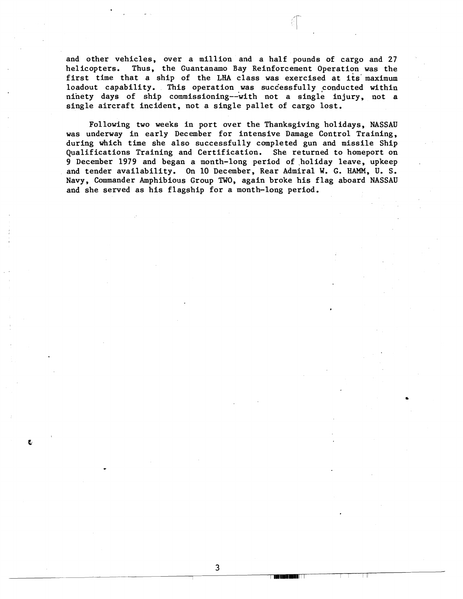and other vehicles, over a million and a half pounds of cargo and 27 helicopters. Thus, the Guantanamo Bay Reinforcement Operation was the first time that a ship of the **LHA** class was exercised at its' maximum loadout capability. This operation was successfully conducted within ninety days of ship commissioning--with not a single injury, not a single aircraft incident, not a single pallet of cargo lost.

Following two weeks in port over the Thanksgiving holidays, NASSAU was underway in early December for intensive Damage Control Training, during which time she also successfully completed gun and missile Ship Qualifications Training and Certification. She returned to homeport on 9 December 1979 and began a month-long period of holiday leave, upkeep and tender availability. On 10 December, Rear Admiral W. G. HAMM, U. S. Navy, Commander Amphibious Group TWO, again broke his flag aboard NASSAU and she served as his flagship for a month-long period.

 $\overline{3}$ 

**THE USE OF THE TIME T** 

-Fil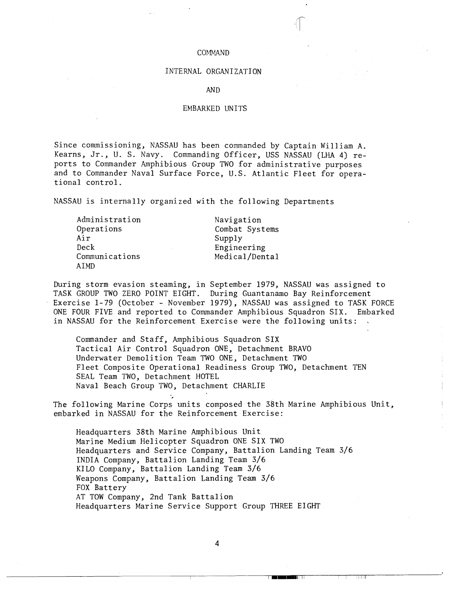#### COMMAND

## INTERNAL ORGANIZATION

#### AND

### EMBARKED UNITS

Since commissioning, NASSAU has been commanded by Captain William A. Kearns, Jr., U. S. Navy. Commanding Officer, USS NASSAU (LHA 4) reports to Commander Amphibious Group TWO for administrative purposes and to Commander Naval Surface Force, U.S. Atlantic Fleet for operational control.

NASSAU is internally organized with the following Departments

| Administration | Navigation     |
|----------------|----------------|
| Operations     | Combat Systems |
| Air            | Supply         |
| Deck           | Engineering    |
| Communications | Medical/Dental |
| AIMD           |                |

During storm evasion steaming, in September 1979, NASSAU was assigned to TASK GROUP TWO ZERO POINT EIGHT. During Guantanamo Bay Reinforcement Exercise 1-79 (October - November 1979), NASSAU was assigned to TASK FORCE ONE FOUR FIVE and reported to Commander Amphibious Squadron SIX. Embarked in NASSAU for the Reinforcement Exercise were the following units: .

Commander and Staff, Amphibious Squadron SIX Tactical Air Control Squadron ONE, Detachment BRAVO Underwater Demolition Team TWO ONE, Detachment TWO Fleet Composite Operational Readiness Group TWO, Detachment TEN SEAL Team TWO, Detachment HOTEL Naval Beach Group TWO, Detachment CHARLIE

The following Marine Corps units composed the 38th Marine Amphibious Unit, embarked in NASSAU for the Reinforcement Exercise:

Headquarters 38th Marine Amphibious Unit Marine Medium Helicopter Squadron ONE SIX TWO Headquarters and Service Company, Battalion Landing Team 3/6 INDIA Company, Battalion Landing Team 3/6 KILO Company, Battalion Landing Team 3/6 Weapons Company, Battalion Landing Team 3/6 FOX Battery AT TOW Company, 2nd Tank Battalion Headquarters Marine Service Support Group THREE EIGHT

4